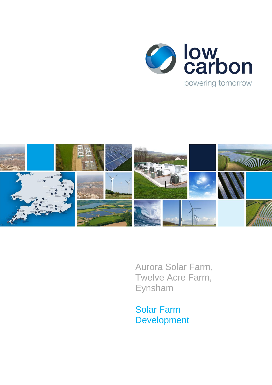



Aurora Solar Farm, Twelve Acre Farm, Eynsham

Solar Farm Development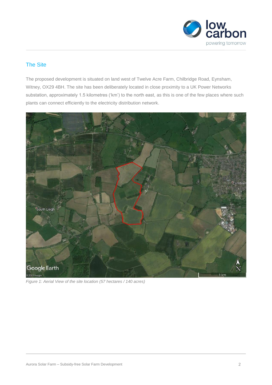

# The Site

The proposed development is situated on land west of Twelve Acre Farm, Chilbridge Road, Eynsham, Witney, OX29 4BH. The site has been deliberately located in close proximity to a UK Power Networks substation, approximately 1.5 kilometres ('km') to the north east, as this is one of the few places where such plants can connect efficiently to the electricity distribution network.



*Figure 1: Aerial View of the site location (57 hectares / 140 acres)*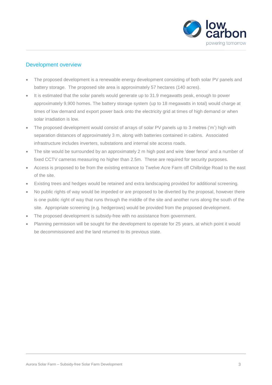

## Development overview

- The proposed development is a renewable energy development consisting of both solar PV panels and battery storage. The proposed site area is approximately 57 hectares (140 acres).
- It is estimated that the solar panels would generate up to 31.9 megawatts peak, enough to power approximately 9,900 homes. The battery storage system (up to 18 megawatts in total) would charge at times of low demand and export power back onto the electricity grid at times of high demand or when solar irradiation is low.
- The proposed development would consist of arrays of solar PV panels up to 3 metres ('m') high with separation distances of approximately 3 m, along with batteries contained in cabins. Associated infrastructure includes inverters, substations and internal site access roads.
- The site would be surrounded by an approximately 2 m high post and wire 'deer fence' and a number of fixed CCTV cameras measuring no higher than 2.5m. These are required for security purposes.
- Access is proposed to be from the existing entrance to Twelve Acre Farm off Chilbridge Road to the east of the site.
- Existing trees and hedges would be retained and extra landscaping provided for additional screening.
- No public rights of way would be impeded or are proposed to be diverted by the proposal, however there is one public right of way that runs through the middle of the site and another runs along the south of the site. Appropriate screening (e.g. hedgerows) would be provided from the proposed development.
- The proposed development is subsidy-free with no assistance from government.
- Planning permission will be sought for the development to operate for 25 years, at which point it would be decommissioned and the land returned to its previous state.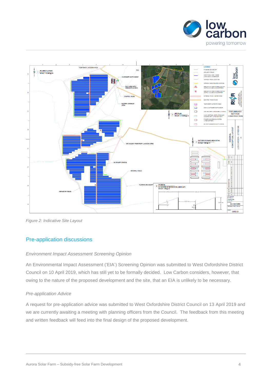



*Figure 2: Indicative Site Layout*

### Pre-application discussions

#### *Environment Impact Assessment Screening Opinion*

An Environmental Impact Assessment ('EIA') Screening Opinion was submitted to West Oxfordshire District Council on 10 April 2019, which has still yet to be formally decided. Low Carbon considers, however, that owing to the nature of the proposed development and the site, that an EIA is unlikely to be necessary.

#### *Pre-application Advice*

A request for pre-application advice was submitted to West Oxfordshire District Council on 13 April 2019 and we are currently awaiting a meeting with planning officers from the Council. The feedback from this meeting and written feedback will feed into the final design of the proposed development.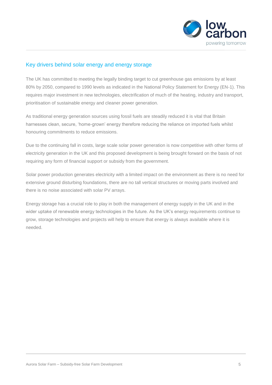

### Key drivers behind solar energy and energy storage

The UK has committed to meeting the legally binding target to cut greenhouse gas emissions by at least 80% by 2050, compared to 1990 levels as indicated in the National Policy Statement for Energy (EN-1). This requires major investment in new technologies, electrification of much of the heating, industry and transport, prioritisation of sustainable energy and cleaner power generation.

As traditional energy generation sources using fossil fuels are steadily reduced it is vital that Britain harnesses clean, secure, 'home-grown' energy therefore reducing the reliance on imported fuels whilst honouring commitments to reduce emissions.

Due to the continuing fall in costs, large scale solar power generation is now competitive with other forms of electricity generation in the UK and this proposed development is being brought forward on the basis of not requiring any form of financial support or subsidy from the government.

Solar power production generates electricity with a limited impact on the environment as there is no need for extensive ground disturbing foundations, there are no tall vertical structures or moving parts involved and there is no noise associated with solar PV arrays.

Energy storage has a crucial role to play in both the management of energy supply in the UK and in the wider uptake of renewable energy technologies in the future. As the UK's energy requirements continue to grow, storage technologies and projects will help to ensure that energy is always available where it is needed.